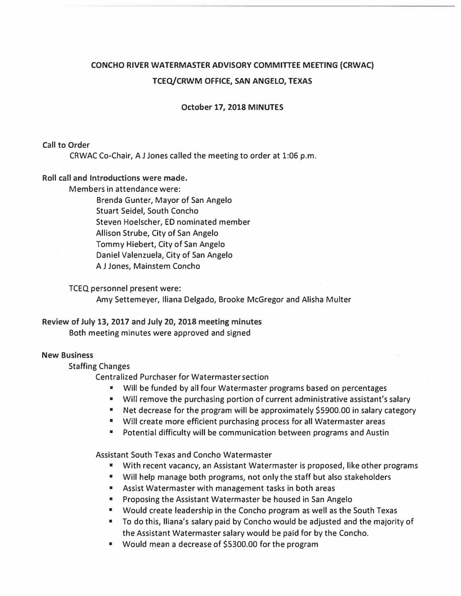# **CONCHO RIVER WATERMASTER ADVISORY COMMITTEE MEETING (CRWAC) TCEQ/CRWM OFFICE, SAN ANGELO, TEXAS**

**October 17, 2018 MINUTES** 

# **Call to Order**

**CRWAC Co-Chair, A J Jones called the meeting to order at 1:06 p.m.** 

# **Roll call and Introductions were made.**

**Members in attendance were:** 

**Brenda Gunter, Mayor of San Angelo Stuart Seidel, South Concho Steven Hoelscher, ED nominated member Allison Strube, City of San Angelo Tommy Hiebert, City of San Angelo Daniel Valenzuela, City of San Angelo A J Jones, Mainstem Concho** 

**TCEQ personnel present were:** 

**Amy Settemeyer, Iliana Delgado, Brooke McGregor and Alisha Multer** 

# **Review of July 13, 2017 and July 20, 2018 meeting minutes**

**Both meeting minutes were approved and signed** 

#### **New Business**

**Staffing Changes** 

**Centralized Purchaser for Watermaster section** 

- **• Will be funded by all four Watermaster programs based on percentages**
- **• Will remove the purchasing portion of current administrative assistant's salary**
- **• Net decrease for the program will be approximately \$5900.00 in salary category**
- **• Will create more efficient purchasing process for all Watermaster areas**
- **• Potential difficulty will be communication between programs and Austin**

**Assistant South Texas and Concho Watermaster** 

- **• With recent vacancy, an Assistant Watermaster is proposed, like other programs**
- **• Will help manage both programs, not only the staff but also stakeholders**
- **• Assist Watermaster with management tasks in both areas**
- **• Proposing the Assistant Watermaster be housed in San Angelo**
- **• Would create leadership in the Concho program as well as the South Texas**
- **• To do this, lliana's salary paid by Concho would be adjusted and the majority of the Assistant Watermaster salary would be paid for by the Concho.**
- **• Would mean a decrease of \$5300.00 for the program**